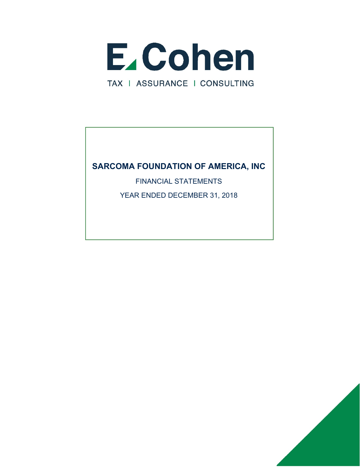

FINANCIAL STATEMENTS

YEAR ENDED DECEMBER 31, 2018

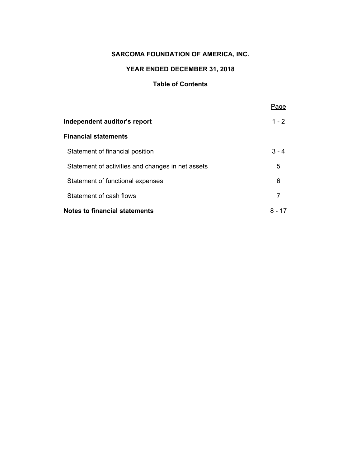# **YEAR ENDED DECEMBER 31, 2018**

### **Table of Contents**

|                                                   | Page      |
|---------------------------------------------------|-----------|
| Independent auditor's report                      | $1 - 2$   |
| <b>Financial statements</b>                       |           |
| Statement of financial position                   | $3 - 4$   |
| Statement of activities and changes in net assets | 5         |
| Statement of functional expenses                  | 6         |
| Statement of cash flows                           | 7         |
| <b>Notes to financial statements</b>              | 8 -<br>17 |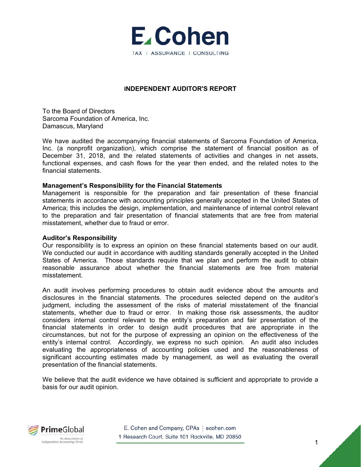

#### **INDEPENDENT AUDITOR'S REPORT**

To the Board of Directors Sarcoma Foundation of America, Inc. Damascus, Maryland

We have audited the accompanying financial statements of Sarcoma Foundation of America, Inc. (a nonprofit organization), which comprise the statement of financial position as of December 31, 2018, and the related statements of activities and changes in net assets, functional expenses, and cash flows for the year then ended, and the related notes to the financial statements.

#### **Management's Responsibility for the Financial Statements**

Management is responsible for the preparation and fair presentation of these financial statements in accordance with accounting principles generally accepted in the United States of America; this includes the design, implementation, and maintenance of internal control relevant to the preparation and fair presentation of financial statements that are free from material misstatement, whether due to fraud or error.

#### **Auditor's Responsibility**

Our responsibility is to express an opinion on these financial statements based on our audit. We conducted our audit in accordance with auditing standards generally accepted in the United States of America. Those standards require that we plan and perform the audit to obtain reasonable assurance about whether the financial statements are free from material misstatement.

An audit involves performing procedures to obtain audit evidence about the amounts and disclosures in the financial statements. The procedures selected depend on the auditor's judgment, including the assessment of the risks of material misstatement of the financial statements, whether due to fraud or error. In making those risk assessments, the auditor considers internal control relevant to the entity's preparation and fair presentation of the financial statements in order to design audit procedures that are appropriate in the circumstances, but not for the purpose of expressing an opinion on the effectiveness of the entity's internal control. Accordingly, we express no such opinion. An audit also includes evaluating the appropriateness of accounting policies used and the reasonableness of significant accounting estimates made by management, as well as evaluating the overall presentation of the financial statements.

We believe that the audit evidence we have obtained is sufficient and appropriate to provide a basis for our audit opinion.



E. Cohen and Company, CPAs | ecohen.com 1 Research Court, Suite 101 Rockville, MD 20850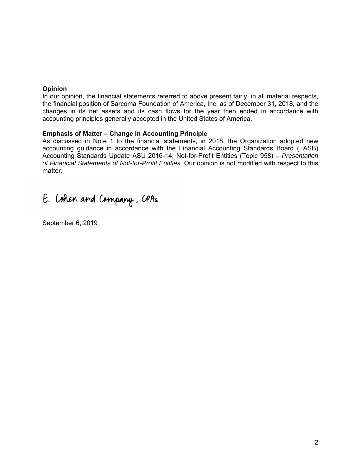#### **Opinion**

In our opinion, the financial statements referred to above present fairly, in all material respects, the financial position of Sarcoma Foundation of America, Inc. as of December 31, 2018, and the changes in its net assets and its cash flows for the year then ended in accordance with accounting principles generally accepted in the United States of America.

### **Emphasis of Matter – Change in Accounting Principle**

As discussed in Note 1 to the financial statements, in 2018, the Organization adopted new accounting guidance in accordance with the Financial Accounting Standards Board (FASB) Accounting Standards Update ASU 2016-14, Not-for-Profit Entities (Topic 958) – *Presentation of Financial Statements of Not-for-Profit Entities.* Our opinion is not modified with respect to this matter.

# E. Cohen and Company, CPAs

September 6, 2019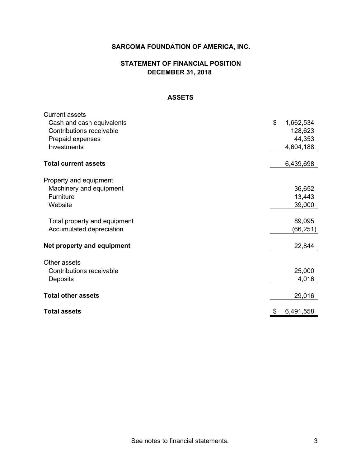# **STATEMENT OF FINANCIAL POSITION DECEMBER 31, 2018**

#### **ASSETS**

| <b>Current assets</b>        |                 |
|------------------------------|-----------------|
| Cash and cash equivalents    | \$<br>1,662,534 |
| Contributions receivable     | 128,623         |
| Prepaid expenses             | 44,353          |
| Investments                  | 4,604,188       |
|                              |                 |
| <b>Total current assets</b>  | 6,439,698       |
|                              |                 |
| Property and equipment       |                 |
| Machinery and equipment      | 36,652          |
| Furniture                    | 13,443          |
| Website                      | 39,000          |
| Total property and equipment | 89,095          |
| Accumulated depreciation     | (66,251)        |
|                              |                 |
| Net property and equipment   | 22,844          |
|                              |                 |
| Other assets                 |                 |
| Contributions receivable     | 25,000          |
| Deposits                     | 4,016           |
| <b>Total other assets</b>    | 29,016          |
| <b>Total assets</b>          | \$<br>6,491,558 |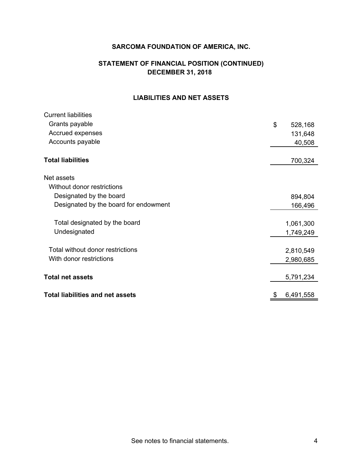# **STATEMENT OF FINANCIAL POSITION (CONTINUED) DECEMBER 31, 2018**

# **LIABILITIES AND NET ASSETS**

| <b>Current liabilities</b>              |               |
|-----------------------------------------|---------------|
| Grants payable                          | \$<br>528,168 |
| Accrued expenses                        | 131,648       |
| Accounts payable                        | 40,508        |
| <b>Total liabilities</b>                | 700,324       |
| Net assets                              |               |
| Without donor restrictions              |               |
| Designated by the board                 | 894,804       |
| Designated by the board for endowment   | 166,496       |
|                                         |               |
| Total designated by the board           | 1,061,300     |
| Undesignated                            | 1,749,249     |
|                                         |               |
| Total without donor restrictions        | 2,810,549     |
| With donor restrictions                 | 2,980,685     |
| <b>Total net assets</b>                 | 5,791,234     |
|                                         |               |
| <b>Total liabilities and net assets</b> | 6,491,558     |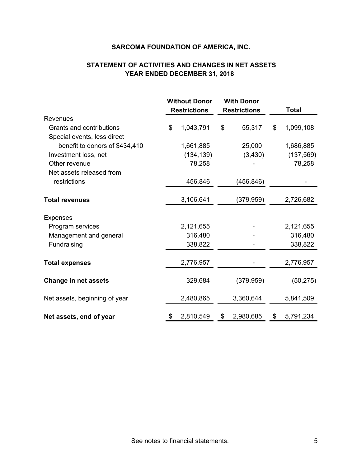# **STATEMENT OF ACTIVITIES AND CHANGES IN NET ASSETS YEAR ENDED DECEMBER 31, 2018**

|                                | <b>Without Donor</b> |                     | <b>With Donor</b> |                     |    |              |
|--------------------------------|----------------------|---------------------|-------------------|---------------------|----|--------------|
|                                |                      | <b>Restrictions</b> |                   | <b>Restrictions</b> |    | <b>Total</b> |
| <b>Revenues</b>                |                      |                     |                   |                     |    |              |
| Grants and contributions       | \$                   | 1,043,791           | \$                | 55,317              | \$ | 1,099,108    |
| Special events, less direct    |                      |                     |                   |                     |    |              |
| benefit to donors of \$434,410 |                      | 1,661,885           |                   | 25,000              |    | 1,686,885    |
| Investment loss, net           |                      | (134, 139)          |                   | (3, 430)            |    | (137, 569)   |
| Other revenue                  |                      | 78,258              |                   |                     |    | 78,258       |
| Net assets released from       |                      |                     |                   |                     |    |              |
| restrictions                   |                      | 456,846             |                   | (456, 846)          |    |              |
| <b>Total revenues</b>          |                      | 3,106,641           |                   | (379, 959)          |    | 2,726,682    |
| <b>Expenses</b>                |                      |                     |                   |                     |    |              |
| Program services               |                      | 2,121,655           |                   |                     |    | 2,121,655    |
| Management and general         |                      | 316,480             |                   |                     |    | 316,480      |
| Fundraising                    |                      | 338,822             |                   |                     |    | 338,822      |
| <b>Total expenses</b>          |                      | 2,776,957           |                   |                     |    | 2,776,957    |
| <b>Change in net assets</b>    |                      | 329,684             |                   | (379, 959)          |    | (50, 275)    |
| Net assets, beginning of year  |                      | 2,480,865           |                   | 3,360,644           |    | 5,841,509    |
| Net assets, end of year        | \$                   | 2,810,549           | \$                | 2,980,685           | \$ | 5,791,234    |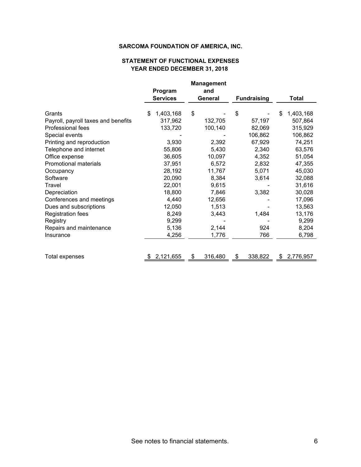#### **YEAR ENDED DECEMBER 31, 2018 STATEMENT OF FUNCTIONAL EXPENSES**

|                                     |                 | <b>Management</b> |                    |                 |
|-------------------------------------|-----------------|-------------------|--------------------|-----------------|
|                                     | Program         | and               |                    |                 |
|                                     | <b>Services</b> | General           | <b>Fundraising</b> | <b>Total</b>    |
|                                     |                 |                   |                    |                 |
| Grants                              | 1,403,168<br>\$ | \$                | \$                 | 1,403,168<br>\$ |
| Payroll, payroll taxes and benefits | 317,962         | 132,705           | 57,197             | 507,864         |
| Professional fees                   | 133,720         | 100,140           | 82,069             | 315,929         |
| Special events                      |                 |                   | 106,862            | 106,862         |
| Printing and reproduction           | 3,930           | 2,392             | 67,929             | 74,251          |
| Telephone and internet              | 55,806          | 5,430             | 2,340              | 63,576          |
| Office expense                      | 36,605          | 10,097            | 4,352              | 51,054          |
| <b>Promotional materials</b>        | 37,951          | 6,572             | 2,832              | 47,355          |
| Occupancy                           | 28,192          | 11,767            | 5,071              | 45,030          |
| Software                            | 20,090          | 8,384             | 3,614              | 32,088          |
| Travel                              | 22,001          | 9,615             |                    | 31,616          |
| Depreciation                        | 18,800          | 7,846             | 3,382              | 30,028          |
| Conferences and meetings            | 4,440           | 12,656            |                    | 17,096          |
| Dues and subscriptions              | 12,050          | 1,513             |                    | 13,563          |
| <b>Registration fees</b>            | 8,249           | 3,443             | 1,484              | 13,176          |
| Registry                            | 9,299           |                   |                    | 9,299           |
| Repairs and maintenance             | 5,136           | 2,144             | 924                | 8,204           |
| Insurance                           | 4,256           | 1,776             | 766                | 6,798           |
|                                     |                 |                   |                    |                 |
| Total expenses                      | 2,121,655       | 316,480<br>S      | 338,822<br>S.      | 2,776,957<br>S  |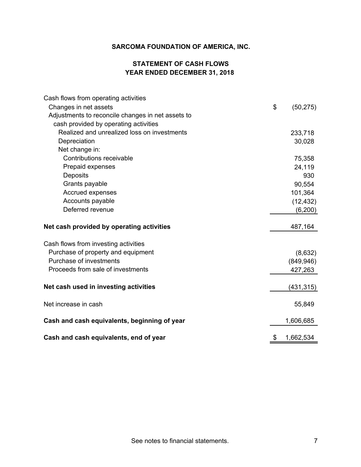# **STATEMENT OF CASH FLOWS YEAR ENDED DECEMBER 31, 2018**

| Cash flows from operating activities              |                 |
|---------------------------------------------------|-----------------|
| Changes in net assets                             | \$<br>(50, 275) |
| Adjustments to reconcile changes in net assets to |                 |
| cash provided by operating activities             |                 |
| Realized and unrealized loss on investments       | 233,718         |
| Depreciation                                      | 30,028          |
| Net change in:                                    |                 |
| Contributions receivable                          | 75,358          |
| Prepaid expenses                                  | 24,119          |
| Deposits                                          | 930             |
| Grants payable                                    | 90,554          |
| Accrued expenses                                  | 101,364         |
| Accounts payable                                  | (12, 432)       |
| Deferred revenue                                  | (6,200)         |
| Net cash provided by operating activities         | 487,164         |
| Cash flows from investing activities              |                 |
| Purchase of property and equipment                | (8,632)         |
| Purchase of investments                           | (849, 946)      |
| Proceeds from sale of investments                 | 427,263         |
| Net cash used in investing activities             | (431, 315)      |
| Net increase in cash                              | 55,849          |
| Cash and cash equivalents, beginning of year      | 1,606,685       |
| Cash and cash equivalents, end of year            | \$<br>1,662,534 |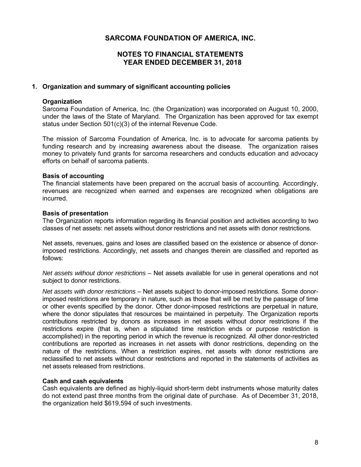# **NOTES TO FINANCIAL STATEMENTS YEAR ENDED DECEMBER 31, 2018**

#### **1. Organization and summary of significant accounting policies**

#### **Organization**

Sarcoma Foundation of America, Inc. (the Organization) was incorporated on August 10, 2000, under the laws of the State of Maryland. The Organization has been approved for tax exempt status under Section 501(c)(3) of the internal Revenue Code.

The mission of Sarcoma Foundation of America, Inc. is to advocate for sarcoma patients by funding research and by increasing awareness about the disease. The organization raises money to privately fund grants for sarcoma researchers and conducts education and advocacy efforts on behalf of sarcoma patients.

#### **Basis of accounting**

The financial statements have been prepared on the accrual basis of accounting. Accordingly, revenues are recognized when earned and expenses are recognized when obligations are incurred.

#### **Basis of presentation**

The Organization reports information regarding its financial position and activities according to two classes of net assets: net assets without donor restrictions and net assets with donor restrictions.

Net assets, revenues, gains and loses are classified based on the existence or absence of donorimposed restrictions. Accordingly, net assets and changes therein are classified and reported as follows:

*Net assets without donor restrictions* – Net assets available for use in general operations and not subject to donor restrictions.

*Net assets with donor restrictions* – Net assets subject to donor-imposed restrictions. Some donorimposed restrictions are temporary in nature, such as those that will be met by the passage of time or other events specified by the donor. Other donor-imposed restrictions are perpetual in nature, where the donor stipulates that resources be maintained in perpetuity. The Organization reports contributions restricted by donors as increases in net assets without donor restrictions if the restrictions expire (that is, when a stipulated time restriction ends or purpose restriction is accomplished) in the reporting period in which the revenue is recognized. All other donor-restricted contributions are reported as increases in net assets with donor restrictions, depending on the nature of the restrictions. When a restriction expires, net assets with donor restrictions are reclassified to net assets without donor restrictions and reported in the statements of activities as net assets released from restrictions.

#### **Cash and cash equivalents**

Cash equivalents are defined as highly-liquid short-term debt instruments whose maturity dates do not extend past three months from the original date of purchase. As of December 31, 2018, the organization held \$619,594 of such investments.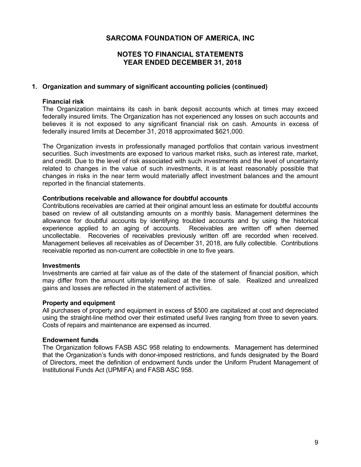# **NOTES TO FINANCIAL STATEMENTS YEAR ENDED DECEMBER 31, 2018**

#### **1. Organization and summary of significant accounting policies (continued)**

#### **Financial risk**

The Organization maintains its cash in bank deposit accounts which at times may exceed federally insured limits. The Organization has not experienced any losses on such accounts and believes it is not exposed to any significant financial risk on cash. Amounts in excess of federally insured limits at December 31, 2018 approximated \$621,000.

The Organization invests in professionally managed portfolios that contain various investment securities. Such investments are exposed to various market risks, such as interest rate, market, and credit. Due to the level of risk associated with such investments and the level of uncertainty related to changes in the value of such investments, it is at least reasonably possible that changes in risks in the near term would materially affect investment balances and the amount reported in the financial statements.

#### **Contributions receivable and allowance for doubtful accounts**

Contributions receivables are carried at their original amount less an estimate for doubtful accounts based on review of all outstanding amounts on a monthly basis. Management determines the allowance for doubtful accounts by identifying troubled accounts and by using the historical experience applied to an aging of accounts. Receivables are written off when deemed uncollectable. Recoveries of receivables previously written off are recorded when received. Management believes all receivables as of December 31, 2018, are fully collectible. Contributions receivable reported as non-current are collectible in one to five years.

#### **Investments**

Investments are carried at fair value as of the date of the statement of financial position, which may differ from the amount ultimately realized at the time of sale. Realized and unrealized gains and losses are reflected in the statement of activities.

#### **Property and equipment**

All purchases of property and equipment in excess of \$500 are capitalized at cost and depreciated using the straight-line method over their estimated useful lives ranging from three to seven years. Costs of repairs and maintenance are expensed as incurred.

#### **Endowment funds**

The Organization follows FASB ASC 958 relating to endowments. Management has determined that the Organization's funds with donor-imposed restrictions, and funds designated by the Board of Directors, meet the definition of endowment funds under the Uniform Prudent Management of Institutional Funds Act (UPMIFA) and FASB ASC 958.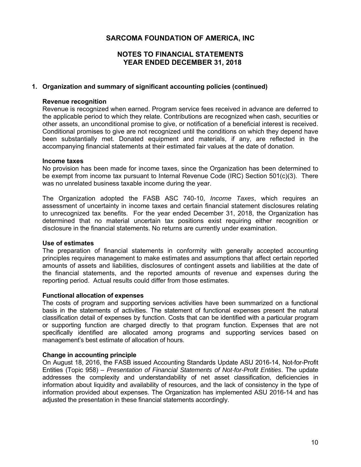# **NOTES TO FINANCIAL STATEMENTS YEAR ENDED DECEMBER 31, 2018**

#### **1. Organization and summary of significant accounting policies (continued)**

#### **Revenue recognition**

Revenue is recognized when earned. Program service fees received in advance are deferred to the applicable period to which they relate. Contributions are recognized when cash, securities or other assets, an unconditional promise to give, or notification of a beneficial interest is received. Conditional promises to give are not recognized until the conditions on which they depend have been substantially met. Donated equipment and materials, if any, are reflected in the accompanying financial statements at their estimated fair values at the date of donation.

#### **Income taxes**

No provision has been made for income taxes, since the Organization has been determined to be exempt from income tax pursuant to Internal Revenue Code (IRC) Section 501(c)(3). There was no unrelated business taxable income during the year.

The Organization adopted the FASB ASC 740-10, *Income Taxes*, which requires an assessment of uncertainty in income taxes and certain financial statement disclosures relating to unrecognized tax benefits. For the year ended December 31, 2018, the Organization has determined that no material uncertain tax positions exist requiring either recognition or disclosure in the financial statements. No returns are currently under examination.

#### **Use of estimates**

The preparation of financial statements in conformity with generally accepted accounting principles requires management to make estimates and assumptions that affect certain reported amounts of assets and liabilities, disclosures of contingent assets and liabilities at the date of the financial statements, and the reported amounts of revenue and expenses during the reporting period. Actual results could differ from those estimates.

#### **Functional allocation of expenses**

The costs of program and supporting services activities have been summarized on a functional basis in the statements of activities. The statement of functional expenses present the natural classification detail of expenses by function. Costs that can be identified with a particular program or supporting function are charged directly to that program function. Expenses that are not specifically identified are allocated among programs and supporting services based on management's best estimate of allocation of hours.

#### **Change in accounting principle**

On August 18, 2016, the FASB issued Accounting Standards Update ASU 2016-14, Not-for-Profit Entities (Topic 958) – *Presentation of Financial Statements of Not-for-Profit Entities*. The update addresses the complexity and understandability of net asset classification, deficiencies in information about liquidity and availability of resources, and the lack of consistency in the type of information provided about expenses. The Organization has implemented ASU 2016-14 and has adjusted the presentation in these financial statements accordingly.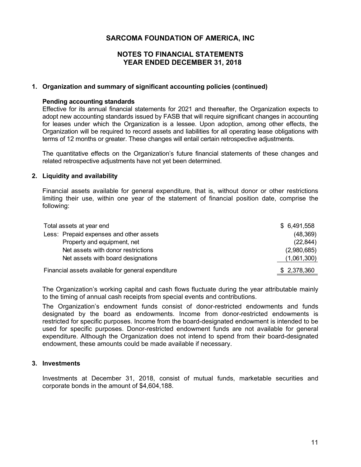## **NOTES TO FINANCIAL STATEMENTS YEAR ENDED DECEMBER 31, 2018**

#### **1. Organization and summary of significant accounting policies (continued)**

#### **Pending accounting standards**

Effective for its annual financial statements for 2021 and thereafter, the Organization expects to adopt new accounting standards issued by FASB that will require significant changes in accounting for leases under which the Organization is a lessee. Upon adoption, among other effects, the Organization will be required to record assets and liabilities for all operating lease obligations with terms of 12 months or greater. These changes will entail certain retrospective adjustments.

The quantitative effects on the Organization's future financial statements of these changes and related retrospective adjustments have not yet been determined.

#### **2. Liquidity and availability**

Financial assets available for general expenditure, that is, without donor or other restrictions limiting their use, within one year of the statement of financial position date, comprise the following:

| Total assets at year end                           | \$6,491,558 |
|----------------------------------------------------|-------------|
| Less: Prepaid expenses and other assets            | (48, 369)   |
| Property and equipment, net                        | (22, 844)   |
| Net assets with donor restrictions                 | (2,980,685) |
| Net assets with board designations                 | (1,061,300) |
| Financial assets available for general expenditure | \$2,378,360 |

The Organization's working capital and cash flows fluctuate during the year attributable mainly to the timing of annual cash receipts from special events and contributions.

The Organization's endowment funds consist of donor-restricted endowments and funds designated by the board as endowments. Income from donor-restricted endowments is restricted for specific purposes. Income from the board-designated endowment is intended to be used for specific purposes. Donor-restricted endowment funds are not available for general expenditure. Although the Organization does not intend to spend from their board-designated endowment, these amounts could be made available if necessary.

### **3. Investments**

Investments at December 31, 2018, consist of mutual funds, marketable securities and corporate bonds in the amount of \$4,604,188.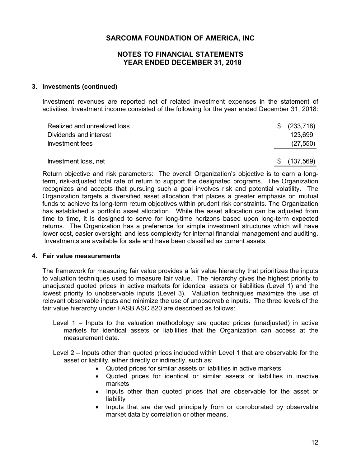## **NOTES TO FINANCIAL STATEMENTS YEAR ENDED DECEMBER 31, 2018**

#### **3. Investments (continued)**

Investment revenues are reported net of related investment expenses in the statement of activities. Investment income consisted of the following for the year ended December 31, 2018:

| Realized and unrealized loss | \$<br>(233,718)  |
|------------------------------|------------------|
| Dividends and interest       | 123.699          |
| Investment fees              | (27, 550)        |
|                              |                  |
| Investment loss, net         | \$<br>(137, 569) |

Return objective and risk parameters: The overall Organization's objective is to earn a longterm, risk-adjusted total rate of return to support the designated programs. The Organization recognizes and accepts that pursuing such a goal involves risk and potential volatility. The Organization targets a diversified asset allocation that places a greater emphasis on mutual funds to achieve its long-term return objectives within prudent risk constraints. The Organization has established a portfolio asset allocation. While the asset allocation can be adjusted from time to time, it is designed to serve for long-time horizons based upon long-term expected returns. The Organization has a preference for simple investment structures which will have lower cost, easier oversight, and less complexity for internal financial management and auditing. Investments are available for sale and have been classified as current assets.

#### **4. Fair value measurements**

The framework for measuring fair value provides a fair value hierarchy that prioritizes the inputs to valuation techniques used to measure fair value. The hierarchy gives the highest priority to unadjusted quoted prices in active markets for identical assets or liabilities (Level 1) and the lowest priority to unobservable inputs (Level 3). Valuation techniques maximize the use of relevant observable inputs and minimize the use of unobservable inputs. The three levels of the fair value hierarchy under FASB ASC 820 are described as follows:

- Level 1 Inputs to the valuation methodology are quoted prices (unadjusted) in active markets for identical assets or liabilities that the Organization can access at the measurement date.
- Level 2 Inputs other than quoted prices included within Level 1 that are observable for the asset or liability, either directly or indirectly, such as:
	- Quoted prices for similar assets or liabilities in active markets
	- Quoted prices for identical or similar assets or liabilities in inactive markets
	- Inputs other than quoted prices that are observable for the asset or liability
	- Inputs that are derived principally from or corroborated by observable market data by correlation or other means.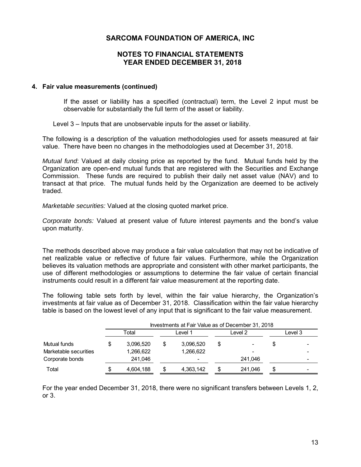## **NOTES TO FINANCIAL STATEMENTS YEAR ENDED DECEMBER 31, 2018**

#### **4. Fair value measurements (continued)**

If the asset or liability has a specified (contractual) term, the Level 2 input must be observable for substantially the full term of the asset or liability.

Level 3 – Inputs that are unobservable inputs for the asset or liability.

The following is a description of the valuation methodologies used for assets measured at fair value. There have been no changes in the methodologies used at December 31, 2018.

*Mutual fund*: Valued at daily closing price as reported by the fund. Mutual funds held by the Organization are open-end mutual funds that are registered with the Securities and Exchange Commission. These funds are required to publish their daily net asset value (NAV) and to transact at that price. The mutual funds held by the Organization are deemed to be actively traded.

*Marketable securities:* Valued at the closing quoted market price.

*Corporate bonds:* Valued at present value of future interest payments and the bond's value upon maturity.

The methods described above may produce a fair value calculation that may not be indicative of net realizable value or reflective of future fair values. Furthermore, while the Organization believes its valuation methods are appropriate and consistent with other market participants, the use of different methodologies or assumptions to determine the fair value of certain financial instruments could result in a different fair value measurement at the reporting date.

The following table sets forth by level, within the fair value hierarchy, the Organization's investments at fair value as of December 31, 2018. Classification within the fair value hierarchy table is based on the lowest level of any input that is significant to the fair value measurement.

|                       |     | Investments at Fair Value as of December 31, 2018 |         |           |         |         |         |  |  |
|-----------------------|-----|---------------------------------------------------|---------|-----------|---------|---------|---------|--|--|
|                       |     | Total                                             | Level 1 |           | Level 2 |         | Level 3 |  |  |
| Mutual funds          | \$  | 3.096.520                                         |         | 3,096,520 | \$      |         |         |  |  |
| Marketable securities |     | 1,266,622                                         |         | 1,266,622 |         |         |         |  |  |
| Corporate bonds       |     | 241,046                                           |         | ۰         |         | 241,046 |         |  |  |
| Total                 | \$. | 4,604,188                                         |         | 4,363,142 | S       | 241,046 | S       |  |  |

For the year ended December 31, 2018, there were no significant transfers between Levels 1, 2, or 3.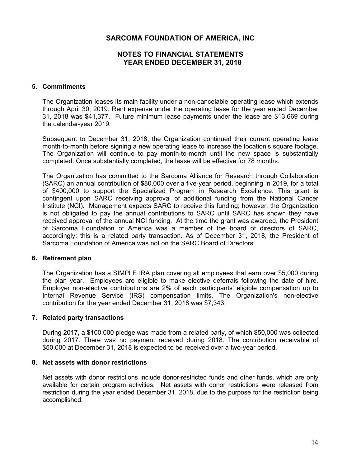# **NOTES TO FINANCIAL STATEMENTS YEAR ENDED DECEMBER 31, 2018**

#### **5. Commitments**

The Organization leases its main facility under a non-cancelable operating lease which extends through April 30, 2019. Rent expense under the operating lease for the year ended December 31, 2018 was \$41,377. Future minimum lease payments under the lease are \$13,669 during the calendar-year 2019.

Subsequent to December 31, 2018, the Organization continued their current operating lease month-to-month before signing a new operating lease to increase the location's square footage. The Organization will continue to pay month-to-month until the new space is substantially completed. Once substantially completed, the lease will be effective for 78 months.

The Organization has committed to the Sarcoma Alliance for Research through Collaboration (SARC) an annual contribution of \$80,000 over a five-year period, beginning in 2019, for a total of \$400,000 to support the Specialized Program in Research Excellence. This grant is contingent upon SARC receiving approval of additional funding from the National Cancer Institute (NCI). Management expects SARC to receive this funding; however, the Organization is not obligated to pay the annual contributions to SARC until SARC has shown they have received approval of the annual NCI funding. At the time the grant was awarded, the President of Sarcoma Foundation of America was a member of the board of directors of SARC, accordingly; this is a related party transaction. As of December 31, 2018, the President of Sarcoma Foundation of America was not on the SARC Board of Directors.

#### **6. Retirement plan**

The Organization has a SIMPLE IRA plan covering all employees that earn over \$5,000 during the plan year. Employees are eligible to make elective deferrals following the date of hire. Employer non-elective contributions are 2% of each participants' eligible compensation up to Internal Revenue Service (IRS) compensation limits. The Organization's non-elective contribution for the year ended December 31, 2018 was \$7,343.

#### **7. Related party transactions**

During 2017, a \$100,000 pledge was made from a related party, of which \$50,000 was collected during 2017. There was no payment received during 2018. The contribution receivable of \$50,000 at December 31, 2018 is expected to be received over a two-year period.

#### **8. Net assets with donor restrictions**

Net assets with donor restrictions include donor-restricted funds and other funds, which are only available for certain program activities. Net assets with donor restrictions were released from restriction during the year ended December 31, 2018, due to the purpose for the restriction being accomplished.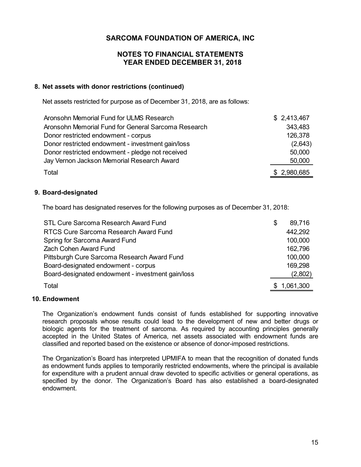# **NOTES TO FINANCIAL STATEMENTS YEAR ENDED DECEMBER 31, 2018**

#### **8. Net assets with donor restrictions (continued)**

Net assets restricted for purpose as of December 31, 2018, are as follows:

| Aronsohn Memorial Fund for ULMS Research            | \$2,413,467 |
|-----------------------------------------------------|-------------|
| Aronsohn Memorial Fund for General Sarcoma Research | 343,483     |
| Donor restricted endowment - corpus                 | 126,378     |
| Donor restricted endowment - investment gain/loss   | (2,643)     |
| Donor restricted endowment - pledge not received    | 50,000      |
| Jay Vernon Jackson Memorial Research Award          | 50,000      |
| Total                                               | \$2,980,685 |

#### **9. Board-designated**

The board has designated reserves for the following purposes as of December 31, 2018:

| STL Cure Sarcoma Research Award Fund              | S | 89,716      |
|---------------------------------------------------|---|-------------|
| RTCS Cure Sarcoma Research Award Fund             |   | 442,292     |
| Spring for Sarcoma Award Fund                     |   | 100,000     |
| <b>Zach Cohen Award Fund</b>                      |   | 162,796     |
| Pittsburgh Cure Sarcoma Research Award Fund       |   | 100,000     |
| Board-designated endowment - corpus               |   | 169,298     |
| Board-designated endowment - investment gain/loss |   | (2,802)     |
| Total                                             |   | \$1,061,300 |

#### **10. Endowment**

The Organization's endowment funds consist of funds established for supporting innovative research proposals whose results could lead to the development of new and better drugs or biologic agents for the treatment of sarcoma. As required by accounting principles generally accepted in the United States of America, net assets associated with endowment funds are classified and reported based on the existence or absence of donor-imposed restrictions.

The Organization's Board has interpreted UPMIFA to mean that the recognition of donated funds as endowment funds applies to temporarily restricted endowments, where the principal is available for expenditure with a prudent annual draw devoted to specific activities or general operations, as specified by the donor. The Organization's Board has also established a board-designated endowment.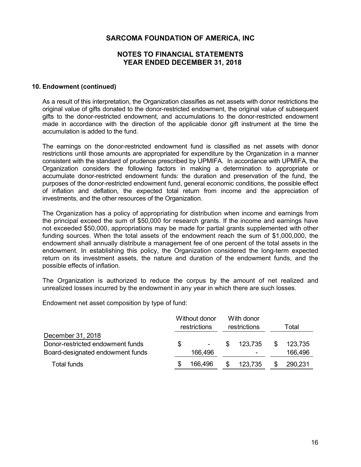## **NOTES TO FINANCIAL STATEMENTS YEAR ENDED DECEMBER 31, 2018**

#### **10. Endowment (continued)**

As a result of this interpretation, the Organization classifies as net assets with donor restrictions the original value of gifts donated to the donor-restricted endowment, the original value of subsequent gifts to the donor-restricted endowment, and accumulations to the donor-restricted endowment made in accordance with the direction of the applicable donor gift instrument at the time the accumulation is added to the fund.

The earnings on the donor-restricted endowment fund is classified as net assets with donor restrictions until those amounts are appropriated for expenditure by the Organization in a manner consistent with the standard of prudence prescribed by UPMIFA. In accordance with UPMIFA, the Organization considers the following factors in making a determination to appropriate or accumulate donor-restricted endowment funds: the duration and preservation of the fund, the purposes of the donor-restricted endowment fund, general economic conditions, the possible effect of inflation and deflation, the expected total return from income and the appreciation of investments, and the other resources of the Organization.

The Organization has a policy of appropriating for distribution when income and earnings from the principal exceed the sum of \$50,000 for research grants. If the income and earnings have not exceeded \$50,000, appropriations may be made for partial grants supplemented with other funding sources. When the total assets of the endowment reach the sum of \$1,000,000, the endowment shall annually distribute a management fee of one percent of the total assets in the endowment. In establishing this policy, the Organization considered the long-term expected return on its investment assets, the nature and duration of the endowment funds, and the possible effects of inflation.

The Organization is authorized to reduce the corpus by the amount of net realized and unrealized losses incurred by the endowment in any year in which there are such losses.

Endowment net asset composition by type of fund:

|                                  | Without donor<br>restrictions |     | With donor<br>restrictions | Total |         |
|----------------------------------|-------------------------------|-----|----------------------------|-------|---------|
| December 31, 2018                |                               |     |                            |       |         |
| Donor-restricted endowment funds | \$                            | \$. | 123,735                    | \$    | 123,735 |
| Board-designated endowment funds | 166,496                       |     |                            |       | 166,496 |
| <b>Total funds</b>               | 166,496                       |     | 123,735                    |       | 290,231 |